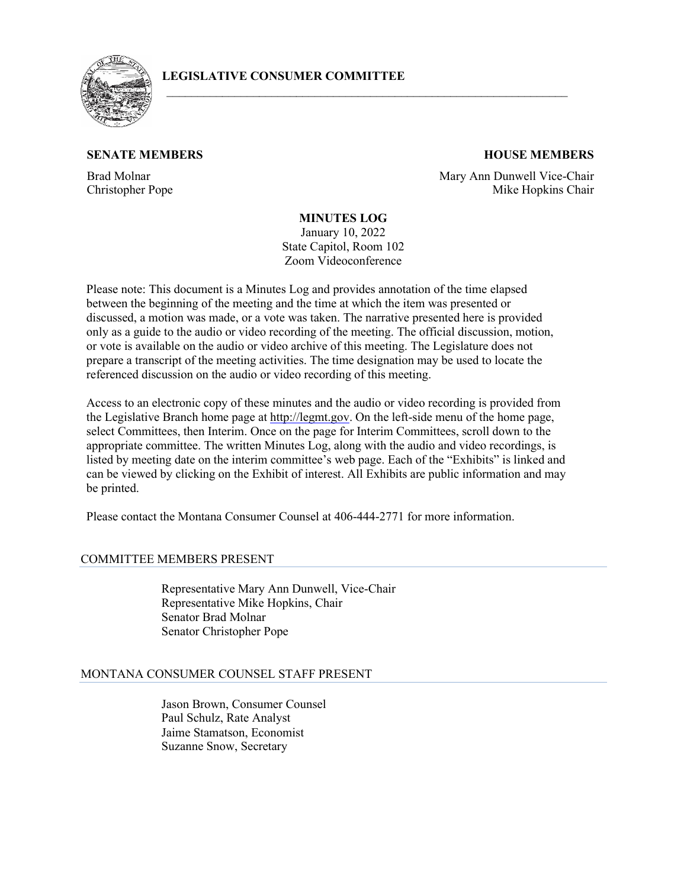

# **LEGISLATIVE CONSUMER COMMITTEE**

# **SENATE MEMBERS HOUSE MEMBERS**

Brad Molnar Christopher Pope

Mary Ann Dunwell Vice-Chair Mike Hopkins Chair

# **MINUTES LOG**

\_\_\_\_\_\_\_\_\_\_\_\_\_\_\_\_\_\_\_\_\_\_\_\_\_\_\_\_\_\_\_\_\_\_\_\_\_\_\_\_\_\_\_\_\_\_\_\_\_\_\_\_\_\_\_\_\_\_\_\_\_\_\_\_\_

January 10, 2022 State Capitol, Room 102 Zoom Videoconference

Please note: This document is a Minutes Log and provides annotation of the time elapsed between the beginning of the meeting and the time at which the item was presented or discussed, a motion was made, or a vote was taken. The narrative presented here is provided only as a guide to the audio or video recording of the meeting. The official discussion, motion, or vote is available on the audio or video archive of this meeting. The Legislature does not prepare a transcript of the meeting activities. The time designation may be used to locate the referenced discussion on the audio or video recording of this meeting.

Access to an electronic copy of these minutes and the audio or video recording is provided from the Legislative Branch home page a[t http://legmt.gov.](http://legmt.gov/) On the left-side menu of the home page, select Committees, then Interim. Once on the page for Interim Committees, scroll down to the appropriate committee. The written Minutes Log, along with the audio and video recordings, is listed by meeting date on the interim committee's web page. Each of the "Exhibits" is linked and can be viewed by clicking on the Exhibit of interest. All Exhibits are public information and may be printed.

Please contact the Montana Consumer Counsel at 406-444-2771 for more information.

#### COMMITTEE MEMBERS PRESENT

Representative Mary Ann Dunwell, Vice-Chair Representative Mike Hopkins, Chair Senator Brad Molnar Senator Christopher Pope

# MONTANA CONSUMER COUNSEL STAFF PRESENT

Jason Brown, Consumer Counsel Paul Schulz, Rate Analyst Jaime Stamatson, Economist Suzanne Snow, Secretary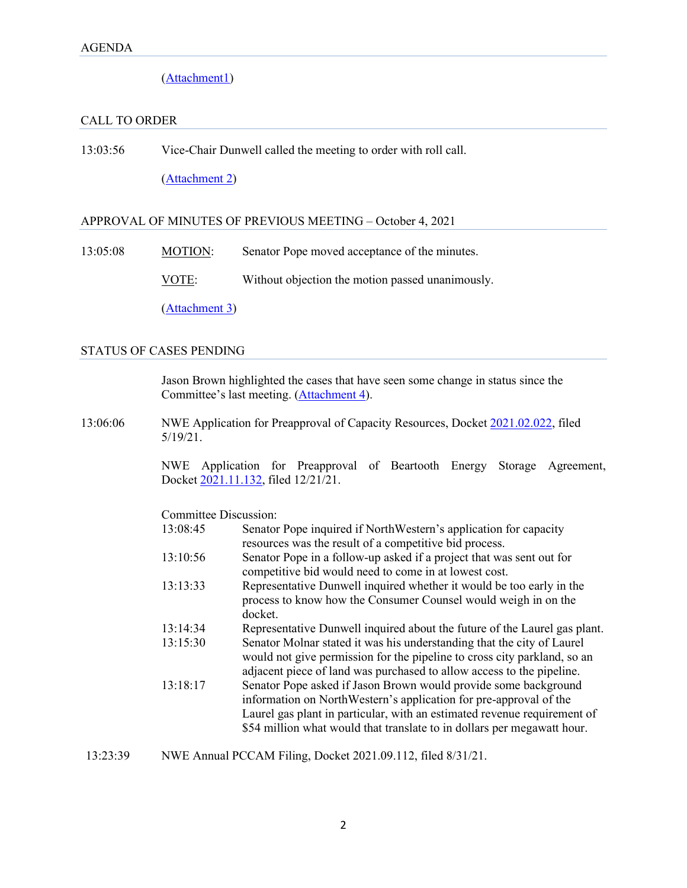[\(Attachment1\)](https://leg.mt.gov/content/Committees/Administration/Consumer%20Counsel/Agenda/Agenda-Jan102022.pdf)

# CALL TO ORDER

13:03:56 Vice-Chair Dunwell called the meeting to order with roll call.

[\(Attachment](https://leg.mt.gov/content/Committees/Administration/Consumer%20Counsel/Minutes/Jan2022/2022-01-10-RollCall.pdf) 2)

# APPROVAL OF MINUTES OF PREVIOUS MEETING – October 4, 2021

13:05:08 MOTION: Senator Pope moved acceptance of the minutes.

VOTE: Without objection the motion passed unanimously.

[\(Attachment 3\)](https://leg.mt.gov/content/Committees/Administration/Consumer%20Counsel/Minutes/October%204%202021%20Minutes%20%20%28for%20Approval%29.pdf)

#### STATUS OF CASES PENDING

Jason Brown highlighted the cases that have seen some change in status since the Committee's last meeting. [\(Attachment 4\)](https://leg.mt.gov/content/Committees/Administration/Consumer%20Counsel/Minutes/Jan2022/January%202022%20Status%20of%20Cases.pdf).

13:06:06 NWE Application for Preapproval of Capacity Resources, Docket [2021.02.022,](https://dataportal.mt.gov/t/DOAPSC/views/EDDISearch_15650306559830/PSCEDDISearch?iframeSizedToWindow=true&%3Aembed=y&%3AshowAppBanner=false&%3Adisplay_count=no&%3AshowVizHome=no&%3Aorigin=viz_share_link&Tracking%20Number=2021.02.022) filed 5/19/21.

> NWE Application for Preapproval of Beartooth Energy Storage Agreement, Docket [2021.11.132,](https://dataportal.mt.gov/t/DOAPSC/views/EDDISearch_15650306559830/PSCEDDISearch?iframeSizedToWindow=true&%3Aembed=y&%3AshowAppBanner=false&%3Adisplay_count=no&%3AshowVizHome=no&%3Aorigin=viz_share_link&Tracking%20Number=2021.11.132) filed 12/21/21.

Committee Discussion:

| 13:08:45 | Senator Pope inquired if NorthWestern's application for capacity          |
|----------|---------------------------------------------------------------------------|
|          | resources was the result of a competitive bid process.                    |
| 13:10:56 | Senator Pope in a follow-up asked if a project that was sent out for      |
|          | competitive bid would need to come in at lowest cost.                     |
| 13:13:33 | Representative Dunwell inquired whether it would be too early in the      |
|          | process to know how the Consumer Counsel would weigh in on the            |
|          | docket.                                                                   |
| 13:14:34 | Representative Dunwell inquired about the future of the Laurel gas plant. |
| 13:15:30 | Senator Molnar stated it was his understanding that the city of Laurel    |
|          | would not give permission for the pipeline to cross city parkland, so an  |
|          | adjacent piece of land was purchased to allow access to the pipeline.     |
| 13:18:17 | Senator Pope asked if Jason Brown would provide some background           |
|          | information on NorthWestern's application for pre-approval of the         |
|          | Laurel gas plant in particular, with an estimated revenue requirement of  |
|          | \$54 million what would that translate to in dollars per megawatt hour.   |
|          |                                                                           |

13:23:39 NWE Annual PCCAM Filing, Docket [2021.09.112,](https://dataportal.mt.gov/t/DOAPSC/views/EDDISearch_15650306559830/PSCEDDISearch?iframeSizedToWindow=true&%3Aembed=y&%3AshowAppBanner=false&%3Adisplay_count=no&%3AshowVizHome=no&%3Aorigin=viz_share_link&Tracking%20Number=2021.09.112) filed 8/31/21.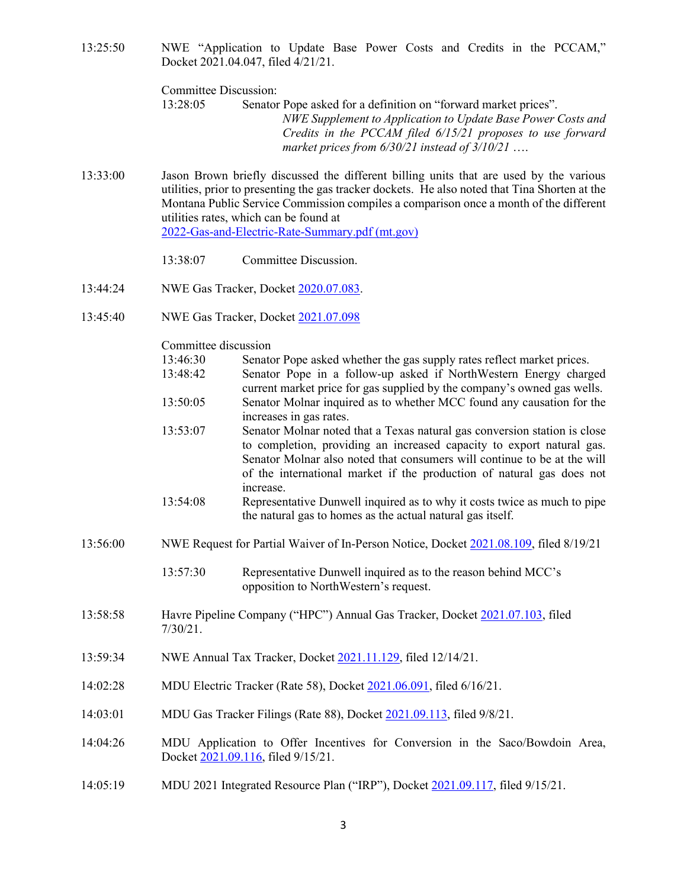| 13:25:50 |                                    | NWE "Application to Update Base Power Costs and Credits in the PCCAM," |  |  |  |  |  |  |
|----------|------------------------------------|------------------------------------------------------------------------|--|--|--|--|--|--|
|          | Docket 2021.04.047, filed 4/21/21. |                                                                        |  |  |  |  |  |  |
|          |                                    |                                                                        |  |  |  |  |  |  |

Committee Discussion:

13:28:05 Senator Pope asked for a definition on "forward market prices". *NWE Supplement to Application to Update Base Power Costs and Credits in the PCCAM filed 6/15/21 proposes to use forward market prices from 6/30/21 instead of 3/10/21* ….

13:33:00 Jason Brown briefly discussed the different billing units that are used by the various utilities, prior to presenting the gas tracker dockets. He also noted that Tina Shorten at the Montana Public Service Commission compiles a comparison once a month of the different utilities rates, which can be found at [2022-Gas-and-Electric-Rate-Summary.pdf \(mt.gov\)](https://psc.mt.gov/_docs/Energy/pdf/2022-Gas-and-Electric-Rate-Summary.pdf)

13:38:07 Committee Discussion.

- 13:44:24 NWE Gas Tracker, Docket [2020.07.083.](https://dataportal.mt.gov/t/DOAPSC/views/EDDISearch_15650306559830/PSCEDDISearch?iframeSizedToWindow=true&%3Aembed=y&%3AshowAppBanner=false&%3Adisplay_count=no&%3AshowVizHome=no&%3Aorigin=viz_share_link&Tracking%20Number=2020.07.083)
- 13:45:40 NWE Gas Tracker, Docket [2021.07.098](https://dataportal.mt.gov/t/DOAPSC/views/EDDISearch_15650306559830/PSCEDDISearch?iframeSizedToWindow=true&%3Aembed=y&%3AshowAppBanner=false&%3Adisplay_count=no&%3AshowVizHome=no&%3Aorigin=viz_share_link&Tracking%20Number=2021.07.098)

|          | Committee discussion |                                                                                                                                                                                                                                                                                                                      |  |  |  |  |  |  |
|----------|----------------------|----------------------------------------------------------------------------------------------------------------------------------------------------------------------------------------------------------------------------------------------------------------------------------------------------------------------|--|--|--|--|--|--|
|          | 13:46:30             | Senator Pope asked whether the gas supply rates reflect market prices.                                                                                                                                                                                                                                               |  |  |  |  |  |  |
|          | 13:48:42             | Senator Pope in a follow-up asked if NorthWestern Energy charged<br>current market price for gas supplied by the company's owned gas wells.                                                                                                                                                                          |  |  |  |  |  |  |
|          | 13:50:05             | Senator Molnar inquired as to whether MCC found any causation for the<br>increases in gas rates.                                                                                                                                                                                                                     |  |  |  |  |  |  |
|          | 13:53:07             | Senator Molnar noted that a Texas natural gas conversion station is close<br>to completion, providing an increased capacity to export natural gas.<br>Senator Molnar also noted that consumers will continue to be at the will<br>of the international market if the production of natural gas does not<br>increase. |  |  |  |  |  |  |
|          | 13:54:08             | Representative Dunwell inquired as to why it costs twice as much to pipe<br>the natural gas to homes as the actual natural gas itself.                                                                                                                                                                               |  |  |  |  |  |  |
| 13:56:00 |                      | NWE Request for Partial Waiver of In-Person Notice, Docket 2021.08.109, filed 8/19/21                                                                                                                                                                                                                                |  |  |  |  |  |  |
|          | 13:57:30             | Representative Dunwell inquired as to the reason behind MCC's<br>opposition to NorthWestern's request.                                                                                                                                                                                                               |  |  |  |  |  |  |
| 13:58:58 | $7/30/21$ .          | Havre Pipeline Company ("HPC") Annual Gas Tracker, Docket 2021.07.103, filed                                                                                                                                                                                                                                         |  |  |  |  |  |  |
| 13:59:34 |                      | NWE Annual Tax Tracker, Docket 2021.11.129, filed 12/14/21.                                                                                                                                                                                                                                                          |  |  |  |  |  |  |
| 14:02:28 |                      | MDU Electric Tracker (Rate 58), Docket 2021.06.091, filed 6/16/21.                                                                                                                                                                                                                                                   |  |  |  |  |  |  |
| 14:03:01 |                      | MDU Gas Tracker Filings (Rate 88), Docket 2021.09.113, filed 9/8/21.                                                                                                                                                                                                                                                 |  |  |  |  |  |  |
| 14:04:26 |                      | MDU Application to Offer Incentives for Conversion in the Saco/Bowdoin Area,<br>Docket 2021.09.116, filed 9/15/21.                                                                                                                                                                                                   |  |  |  |  |  |  |
| 14:05:19 |                      | MDU 2021 Integrated Resource Plan ("IRP"), Docket 2021.09.117, filed 9/15/21.                                                                                                                                                                                                                                        |  |  |  |  |  |  |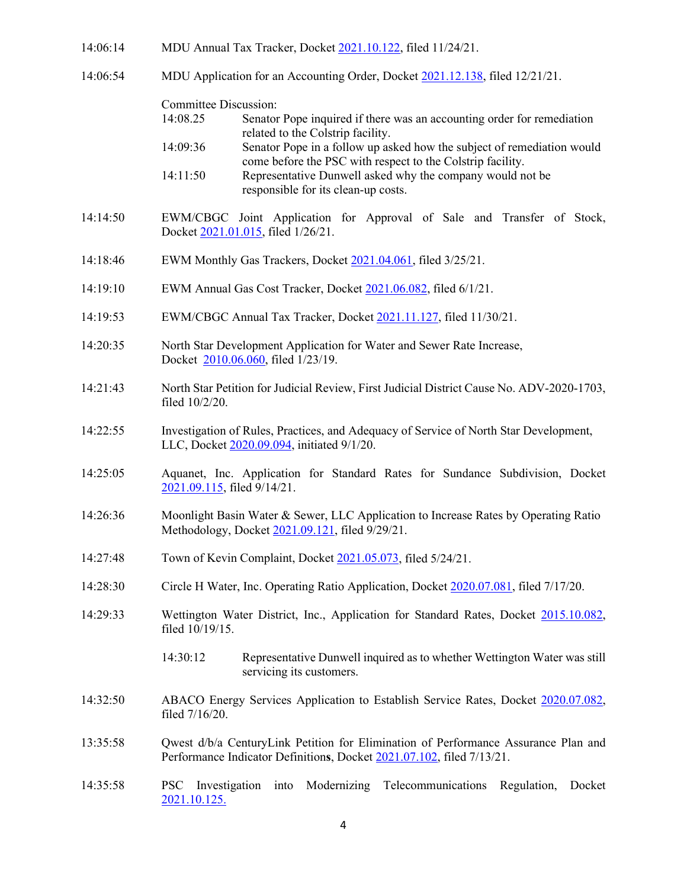| 14:06:14 | MDU Annual Tax Tracker, Docket 2021.10.122, filed 11/24/21.                                                                                                                                                                                                                                                                                                                                                                 |  |  |  |  |  |  |  |
|----------|-----------------------------------------------------------------------------------------------------------------------------------------------------------------------------------------------------------------------------------------------------------------------------------------------------------------------------------------------------------------------------------------------------------------------------|--|--|--|--|--|--|--|
| 14:06:54 | MDU Application for an Accounting Order, Docket 2021.12.138, filed 12/21/21.                                                                                                                                                                                                                                                                                                                                                |  |  |  |  |  |  |  |
|          | <b>Committee Discussion:</b><br>14:08.25<br>Senator Pope inquired if there was an accounting order for remediation<br>related to the Colstrip facility.<br>Senator Pope in a follow up asked how the subject of remediation would<br>14:09:36<br>come before the PSC with respect to the Colstrip facility.<br>Representative Dunwell asked why the company would not be<br>14:11:50<br>responsible for its clean-up costs. |  |  |  |  |  |  |  |
| 14:14:50 | EWM/CBGC Joint Application for Approval of Sale and Transfer of Stock,<br>Docket 2021.01.015, filed 1/26/21.                                                                                                                                                                                                                                                                                                                |  |  |  |  |  |  |  |
| 14:18:46 | EWM Monthly Gas Trackers, Docket 2021.04.061, filed 3/25/21.                                                                                                                                                                                                                                                                                                                                                                |  |  |  |  |  |  |  |
| 14:19:10 | EWM Annual Gas Cost Tracker, Docket 2021.06.082, filed 6/1/21.                                                                                                                                                                                                                                                                                                                                                              |  |  |  |  |  |  |  |
| 14:19:53 | EWM/CBGC Annual Tax Tracker, Docket 2021.11.127, filed 11/30/21.                                                                                                                                                                                                                                                                                                                                                            |  |  |  |  |  |  |  |
| 14:20:35 | North Star Development Application for Water and Sewer Rate Increase,<br>Docket 2010.06.060, filed 1/23/19.                                                                                                                                                                                                                                                                                                                 |  |  |  |  |  |  |  |
| 14:21:43 | North Star Petition for Judicial Review, First Judicial District Cause No. ADV-2020-1703,<br>filed 10/2/20.                                                                                                                                                                                                                                                                                                                 |  |  |  |  |  |  |  |
| 14:22:55 | Investigation of Rules, Practices, and Adequacy of Service of North Star Development,<br>LLC, Docket 2020.09.094, initiated 9/1/20.                                                                                                                                                                                                                                                                                         |  |  |  |  |  |  |  |
| 14:25:05 | Aquanet, Inc. Application for Standard Rates for Sundance Subdivision, Docket<br>2021.09.115, filed 9/14/21.                                                                                                                                                                                                                                                                                                                |  |  |  |  |  |  |  |
| 14:26:36 | Moonlight Basin Water & Sewer, LLC Application to Increase Rates by Operating Ratio<br>Methodology, Docket 2021.09.121, filed 9/29/21.                                                                                                                                                                                                                                                                                      |  |  |  |  |  |  |  |
| 14:27:48 | Town of Kevin Complaint, Docket 2021.05.073, filed 5/24/21.                                                                                                                                                                                                                                                                                                                                                                 |  |  |  |  |  |  |  |
| 14:28:30 | Circle H Water, Inc. Operating Ratio Application, Docket 2020.07.081, filed 7/17/20.                                                                                                                                                                                                                                                                                                                                        |  |  |  |  |  |  |  |
| 14:29:33 | Wettington Water District, Inc., Application for Standard Rates, Docket 2015.10.082,<br>filed 10/19/15.                                                                                                                                                                                                                                                                                                                     |  |  |  |  |  |  |  |
|          | 14:30:12<br>Representative Dunwell inquired as to whether Wettington Water was still<br>servicing its customers.                                                                                                                                                                                                                                                                                                            |  |  |  |  |  |  |  |
| 14:32:50 | ABACO Energy Services Application to Establish Service Rates, Docket 2020.07.082,<br>filed 7/16/20.                                                                                                                                                                                                                                                                                                                         |  |  |  |  |  |  |  |
| 13:35:58 | Qwest d/b/a CenturyLink Petition for Elimination of Performance Assurance Plan and<br>Performance Indicator Definitions, Docket 2021.07.102, filed 7/13/21.                                                                                                                                                                                                                                                                 |  |  |  |  |  |  |  |
| 14:35:58 | Modernizing<br>Telecommunications<br>Regulation,<br><b>PSC</b><br>Investigation<br>Docket<br>into<br>2021.10.125.                                                                                                                                                                                                                                                                                                           |  |  |  |  |  |  |  |

4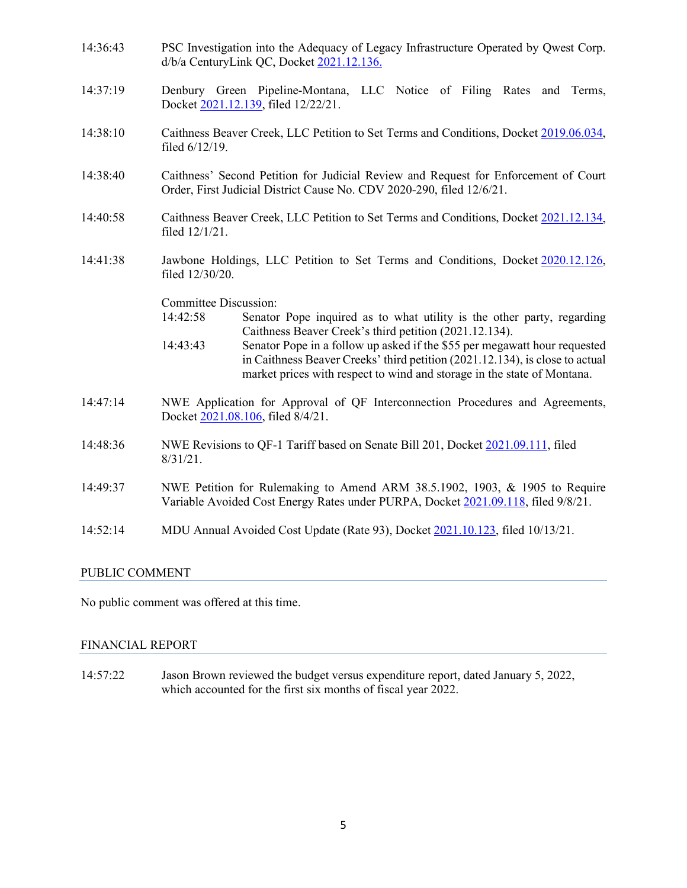- 14:36:43 PSC Investigation into the Adequacy of Legacy Infrastructure Operated by Qwest Corp. d/b/a CenturyLink QC, Docket [2021.12.136.](https://dataportal.mt.gov/t/DOAPSC/views/EDDISearch_15650306559830/PSCEDDISearch?iframeSizedToWindow=true&%3Aembed=y&%3AshowAppBanner=false&%3Adisplay_count=no&%3AshowVizHome=no&%3Aorigin=viz_share_link&Tracking%20Number=2021.12.136)
- 14:37:19 Denbury Green Pipeline-Montana, LLC Notice of Filing Rates and Terms, Docket [2021.12.139,](https://dataportal.mt.gov/t/DOAPSC/views/EDDISearch_15650306559830/PSCEDDISearch?iframeSizedToWindow=true&%3Aembed=y&%3AshowAppBanner=false&%3Adisplay_count=no&%3AshowVizHome=no&%3Aorigin=viz_share_link&Tracking%20Number=2021.12.139) filed 12/22/21.
- 14:38:10 Caithness Beaver Creek, LLC Petition to Set Terms and Conditions, Docket [2019.06.034,](https://dataportal.mt.gov/t/DOAPSC/views/EDDISearch_15650306559830/PSCEDDISearch?iframeSizedToWindow=true&%3Aembed=y&%3AshowAppBanner=false&%3Adisplay_count=no&%3AshowVizHome=no&%3Aorigin=viz_share_link&Tracking%20Number=2019.06.034)  filed 6/12/19.
- 14:38:40 Caithness' Second Petition for Judicial Review and Request for Enforcement of Court Order, First Judicial District Cause No. CDV 2020-290, filed 12/6/21.
- 14:40:58 Caithness Beaver Creek, LLC Petition to Set Terms and Conditions, Docket [2021.12.134,](https://dataportal.mt.gov/t/DOAPSC/views/EDDISearch_15650306559830/PSCEDDISearch?iframeSizedToWindow=true&%3Aembed=y&%3AshowAppBanner=false&%3Adisplay_count=no&%3AshowVizHome=no&%3Aorigin=viz_share_link&Tracking%20Number=2021.12.134)  filed 12/1/21.
- 14:41:38 Jawbone Holdings, LLC Petition to Set Terms and Conditions, Docket [2020.12.126,](https://dataportal.mt.gov/t/DOAPSC/views/EDDISearch_15650306559830/PSCEDDISearch?iframeSizedToWindow=true&%3Aembed=y&%3AshowAppBanner=false&%3Adisplay_count=no&%3AshowVizHome=no&%3Aorigin=viz_share_link&Tracking%20Number=2020.12.126)  filed 12/30/20.

Committee Discussion:

- 14:42:58 Senator Pope inquired as to what utility is the other party, regarding Caithness Beaver Creek's third petition (2021.12.134).
- 14:43:43 Senator Pope in a follow up asked if the \$55 per megawatt hour requested in Caithness Beaver Creeks' third petition (2021.12.134), is close to actual market prices with respect to wind and storage in the state of Montana.
- 14:47:14 NWE Application for Approval of QF Interconnection Procedures and Agreements, Docket [2021.08.106,](https://dataportal.mt.gov/t/DOAPSC/views/EDDISearch_15650306559830/PSCEDDISearch?iframeSizedToWindow=true&%3Aembed=y&%3AshowAppBanner=false&%3Adisplay_count=no&%3AshowVizHome=no&%3Aorigin=viz_share_link&Tracking%20Number=2021.08.106) filed 8/4/21.
- 14:48:36 NWE Revisions to QF-1 Tariff based on Senate Bill 201, Docket [2021.09.111,](https://dataportal.mt.gov/t/DOAPSC/views/EDDISearch_15650306559830/PSCEDDISearch?iframeSizedToWindow=true&%3Aembed=y&%3AshowAppBanner=false&%3Adisplay_count=no&%3AshowVizHome=no&%3Aorigin=viz_share_link&Tracking%20Number=2021.09.111) filed 8/31/21.
- 14:49:37 NWE Petition for Rulemaking to Amend ARM 38.5.1902, 1903, & 1905 to Require Variable Avoided Cost Energy Rates under PURPA, Docket [2021.09.118,](https://dataportal.mt.gov/t/DOAPSC/views/EDDISearch_15650306559830/PSCEDDISearch?iframeSizedToWindow=true&%3Aembed=y&%3AshowAppBanner=false&%3Adisplay_count=no&%3AshowVizHome=no&%3Aorigin=viz_share_link&Tracking%20Number=2021.09.118) filed 9/8/21.
- 14:52:14 MDU Annual Avoided Cost Update (Rate 93), Docket [2021.10.123,](https://dataportal.mt.gov/t/DOAPSC/views/EDDISearch_15650306559830/PSCEDDISearch?iframeSizedToWindow=true&%3Aembed=y&%3AshowAppBanner=false&%3Adisplay_count=no&%3AshowVizHome=no&%3Aorigin=viz_share_link&Tracking%20Number=2021.10.123) filed 10/13/21.

#### PUBLIC COMMENT

No public comment was offered at this time.

#### FINANCIAL REPORT

14:57:22 Jason Brown reviewed the budget versus expenditure report, dated January 5, 2022, which accounted for the first six months of fiscal year 2022.